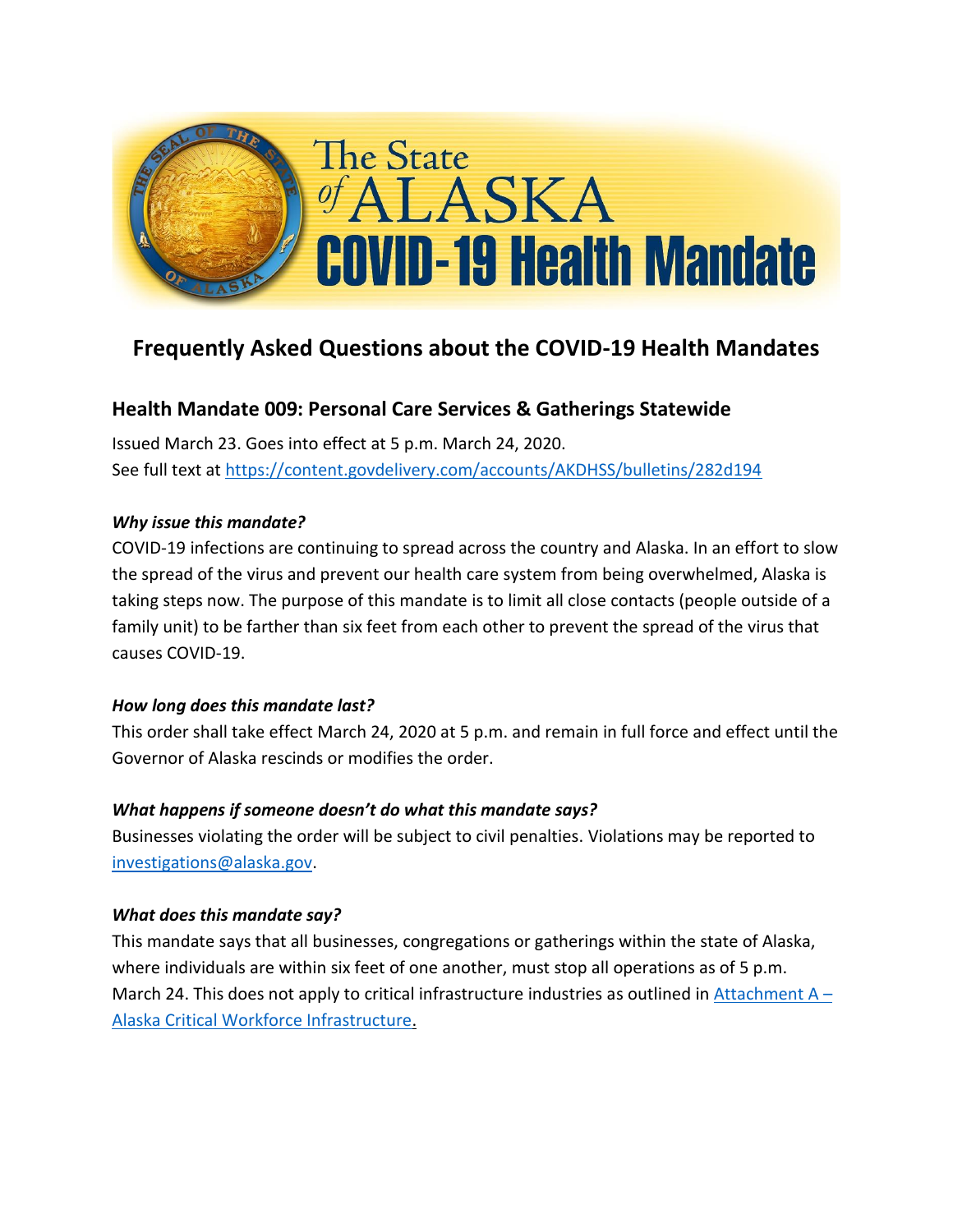

# **Frequently Asked Questions about the COVID-19 Health Mandates**

## **Health Mandate 009: Personal Care Services & Gatherings Statewide**

Issued March 23. Goes into effect at 5 p.m. March 24, 2020. See full text at <https://content.govdelivery.com/accounts/AKDHSS/bulletins/282d194>

### *Why issue this mandate?*

COVID-19 infections are continuing to spread across the country and Alaska. In an effort to slow the spread of the virus and prevent our health care system from being overwhelmed, Alaska is taking steps now. The purpose of this mandate is to limit all close contacts (people outside of a family unit) to be farther than six feet from each other to prevent the spread of the virus that causes COVID-19.

### *How long does this mandate last?*

This order shall take effect March 24, 2020 at 5 p.m. and remain in full force and effect until the Governor of Alaska rescinds or modifies the order.

### *What happens if someone doesn't do what this mandate says?*

Businesses violating the order will be subject to civil penalties. Violations may be reported to [investigations@alaska.gov.](mailto:investigations@alaska.gov)

### *What does this mandate say?*

This mandate says that all businesses, congregations or gatherings within the state of Alaska, where individuals are within six feet of one another, must stop all operations as of 5 p.m. March 24. This does not apply to critical infrastructure industries as outlined in Attachment  $A -$ [Alaska Critical Workforce Infrastructure.](https://gov.alaska.gov/wp-content/uploads/sites/2/03232020-COVID-19-Health-Mandate-010-Attachment-A.pdf)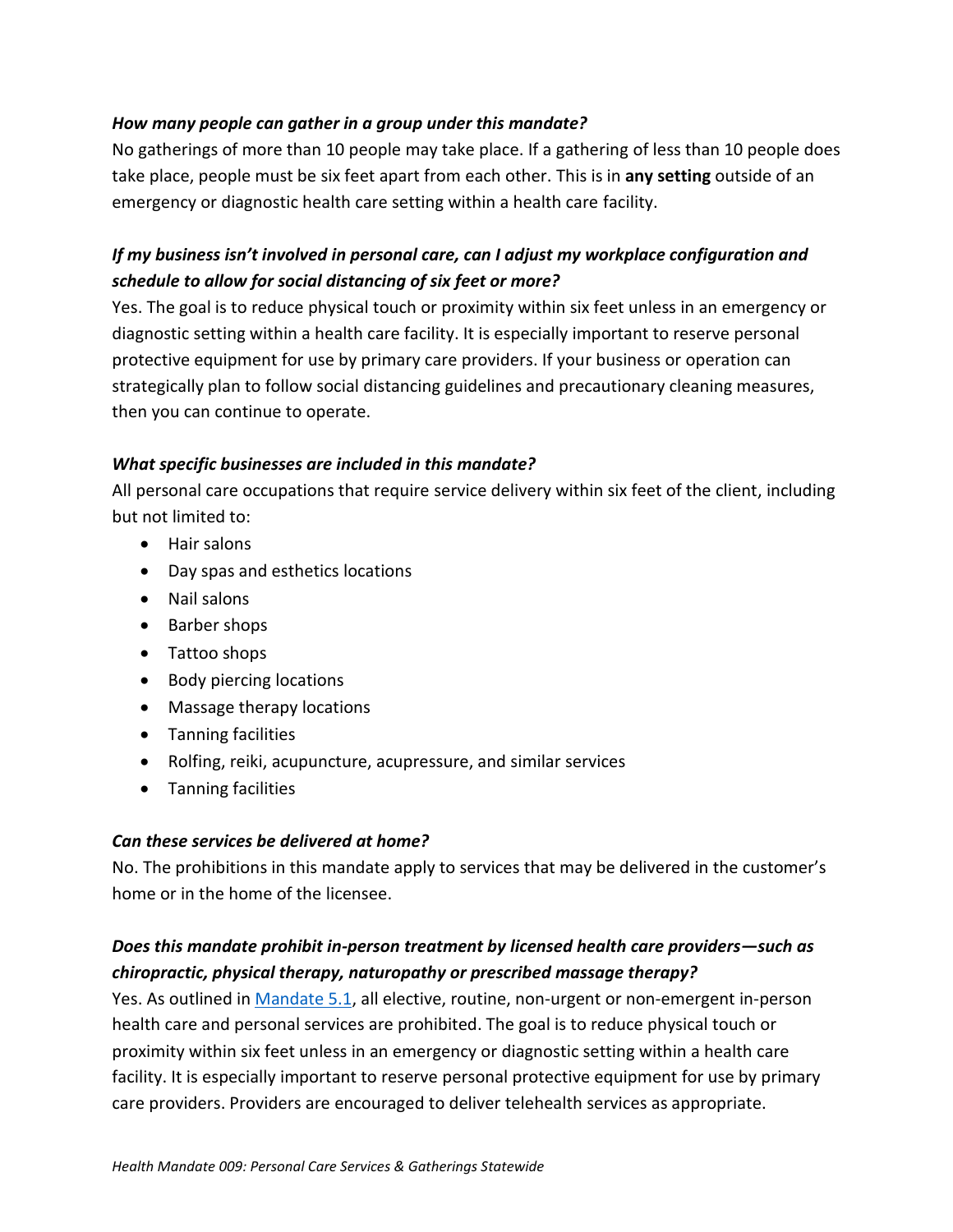### *How many people can gather in a group under this mandate?*

No gatherings of more than 10 people may take place. If a gathering of less than 10 people does take place, people must be six feet apart from each other. This is in **any setting** outside of an emergency or diagnostic health care setting within a health care facility.

### *If my business isn't involved in personal care, can I adjust my workplace configuration and schedule to allow for social distancing of six feet or more?*

Yes. The goal is to reduce physical touch or proximity within six feet unless in an emergency or diagnostic setting within a health care facility. It is especially important to reserve personal protective equipment for use by primary care providers. If your business or operation can strategically plan to follow social distancing guidelines and precautionary cleaning measures, then you can continue to operate.

### *What specific businesses are included in this mandate?*

All personal care occupations that require service delivery within six feet of the client, including but not limited to:

- Hair salons
- Day spas and esthetics locations
- Nail salons
- Barber shops
- Tattoo shops
- Body piercing locations
- Massage therapy locations
- Tanning facilities
- Rolfing, reiki, acupuncture, acupressure, and similar services
- Tanning facilities

### *Can these services be delivered at home?*

No. The prohibitions in this mandate apply to services that may be delivered in the customer's home or in the home of the licensee.

### *Does this mandate prohibit in-person treatment by licensed health care providers—such as chiropractic, physical therapy, naturopathy or prescribed massage therapy?*

Yes. As outlined in [Mandate 5.1,](https://gov.alaska.gov/wp-content/uploads/sites/2/COVID-19-Health-Mandate-005.pdf) all elective, routine, non-urgent or non-emergent in-person health care and personal services are prohibited. The goal is to reduce physical touch or proximity within six feet unless in an emergency or diagnostic setting within a health care facility. It is especially important to reserve personal protective equipment for use by primary care providers. Providers are encouraged to deliver telehealth services as appropriate.